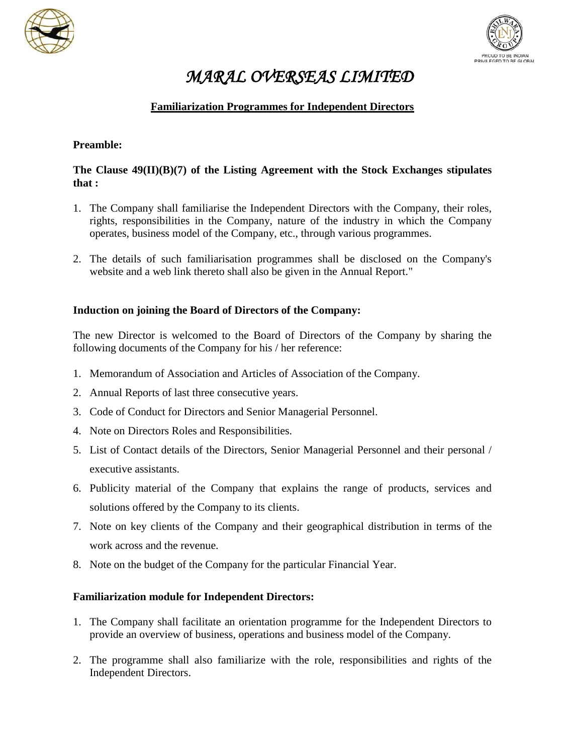



# *MARAL OVERSEAS LIMITED*

## **Familiarization Programmes for Independent Directors**

### **Preamble:**

## **The Clause 49(II)(B)(7) of the Listing Agreement with the Stock Exchanges stipulates that :**

- 1. The Company shall familiarise the Independent Directors with the Company, their roles, rights, responsibilities in the Company, nature of the industry in which the Company operates, business model of the Company, etc., through various programmes.
- 2. The details of such familiarisation programmes shall be disclosed on the Company's website and a web link thereto shall also be given in the Annual Report."

#### **Induction on joining the Board of Directors of the Company:**

The new Director is welcomed to the Board of Directors of the Company by sharing the following documents of the Company for his / her reference:

- 1. Memorandum of Association and Articles of Association of the Company.
- 2. Annual Reports of last three consecutive years.
- 3. Code of Conduct for Directors and Senior Managerial Personnel.
- 4. Note on Directors Roles and Responsibilities.
- 5. List of Contact details of the Directors, Senior Managerial Personnel and their personal / executive assistants.
- 6. Publicity material of the Company that explains the range of products, services and solutions offered by the Company to its clients.
- 7. Note on key clients of the Company and their geographical distribution in terms of the work across and the revenue.
- 8. Note on the budget of the Company for the particular Financial Year.

#### **Familiarization module for Independent Directors:**

- 1. The Company shall facilitate an orientation programme for the Independent Directors to provide an overview of business, operations and business model of the Company.
- 2. The programme shall also familiarize with the role, responsibilities and rights of the Independent Directors.